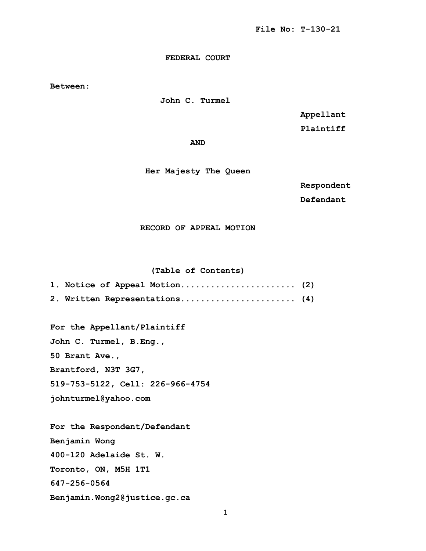# **FEDERAL COURT**

**Between:**

 **John C. Turmel** 

 **Appellant** 

 **Plaintiff**

*AND* 

 **Her Majesty The Queen**

 **Respondent** 

**Defendant**

 **RECORD OF APPEAL MOTION** 

### **(Table of Contents)**

| 1. Notice of Appeal Motion (2) |  |
|--------------------------------|--|
| 2. Written Representations (4) |  |

**For the Appellant/Plaintiff John C. Turmel, B.Eng., 50 Brant Ave., Brantford, N3T 3G7, 519-753-5122, Cell: 226-966-4754 johnturmel@yahoo.com**

**For the Respondent/Defendant Benjamin Wong 400-120 Adelaide St. W. Toronto, ON, M5H 1T1 647-256-0564 Benjamin.Wong2@justice.gc.ca**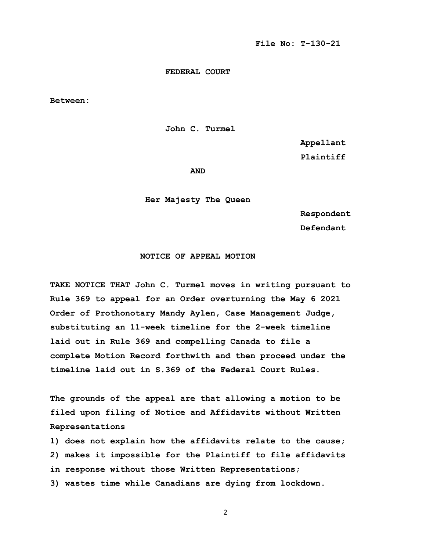#### **FEDERAL COURT**

**Between:**

 **John C. Turmel** 

 **Appellant** 

 **Plaintiff**

*AND* 

 **Her Majesty The Queen**

 **Respondent**

**Defendant**

# **NOTICE OF APPEAL MOTION**

**TAKE NOTICE THAT John C. Turmel moves in writing pursuant to Rule 369 to appeal for an Order overturning the May 6 2021 Order of Prothonotary Mandy Aylen, Case Management Judge, substituting an 11-week timeline for the 2-week timeline laid out in Rule 369 and compelling Canada to file a complete Motion Record forthwith and then proceed under the timeline laid out in S.369 of the Federal Court Rules.** 

**The grounds of the appeal are that allowing a motion to be filed upon filing of Notice and Affidavits without Written Representations** 

**1) does not explain how the affidavits relate to the cause; 2) makes it impossible for the Plaintiff to file affidavits in response without those Written Representations; 3) wastes time while Canadians are dying from lockdown.**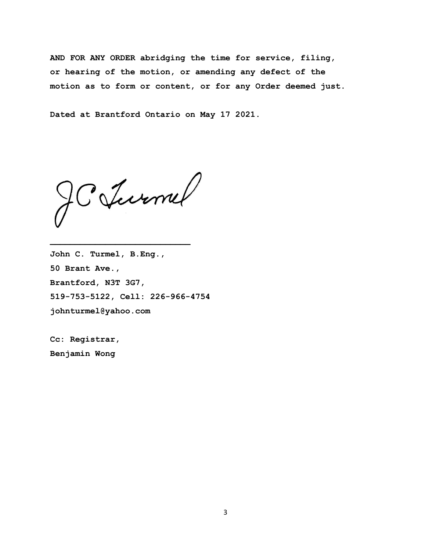**AND FOR ANY ORDER abridging the time for service, filing, or hearing of the motion, or amending any defect of the motion as to form or content, or for any Order deemed just.** 

**Dated at Brantford Ontario on May 17 2021.** 

JC Jurnel

**John C. Turmel, B.Eng., 50 Brant Ave., Brantford, N3T 3G7, 519-753-5122, Cell: 226-966-4754 johnturmel@yahoo.com**

**Cc: Registrar, Benjamin Wong**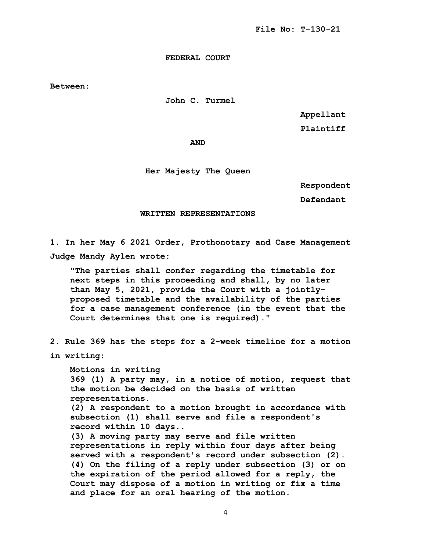**FEDERAL COURT**

**Between:**

 **John C. Turmel** 

 **Appellant** 

**Plaintiff**

*AND* 

# **Her Majesty The Queen**

 **Respondent** 

**Defendant**

#### **WRITTEN REPRESENTATIONS**

**1. In her May 6 2021 Order, Prothonotary and Case Management Judge Mandy Aylen wrote:** 

 **"The parties shall confer regarding the timetable for next steps in this proceeding and shall, by no later than May 5, 2021, provide the Court with a jointly proposed timetable and the availability of the parties for a case management conference (in the event that the Court determines that one is required)."**

**2. Rule 369 has the steps for a 2-week timeline for a motion** 

**in writing:** 

 **Motions in writing 369 (1) A party may, in a notice of motion, request that the motion be decided on the basis of written representations.**

 **(2) A respondent to a motion brought in accordance with subsection (1) shall serve and file a respondent's record within 10 days..** 

 **(3) A moving party may serve and file written representations in reply within four days after being served with a respondent's record under subsection (2). (4) On the filing of a reply under subsection (3) or on the expiration of the period allowed for a reply, the Court may dispose of a motion in writing or fix a time and place for an oral hearing of the motion.**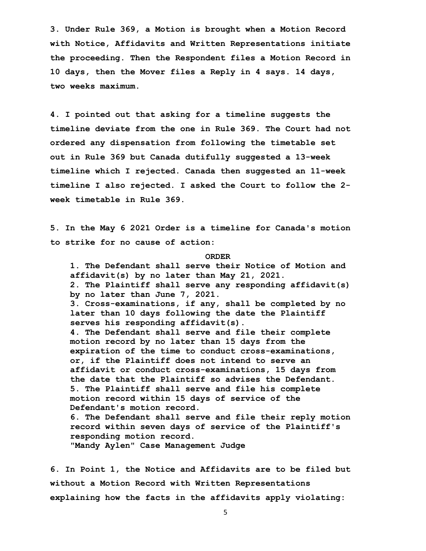**3. Under Rule 369, a Motion is brought when a Motion Record with Notice, Affidavits and Written Representations initiate the proceeding. Then the Respondent files a Motion Record in 10 days, then the Mover files a Reply in 4 says. 14 days, two weeks maximum.** 

**4. I pointed out that asking for a timeline suggests the timeline deviate from the one in Rule 369. The Court had not ordered any dispensation from following the timetable set out in Rule 369 but Canada dutifully suggested a 13-week timeline which I rejected. Canada then suggested an 11-week timeline I also rejected. I asked the Court to follow the 2 week timetable in Rule 369.**

**5. In the May 6 2021 Order is a timeline for Canada's motion to strike for no cause of action:** 

### **ORDER**

 **1. The Defendant shall serve their Notice of Motion and affidavit(s) by no later than May 21, 2021. 2. The Plaintiff shall serve any responding affidavit(s) by no later than June 7, 2021. 3. Cross-examinations, if any, shall be completed by no later than 10 days following the date the Plaintiff serves his responding affidavit(s). 4. The Defendant shall serve and file their complete motion record by no later than 15 days from the expiration of the time to conduct cross-examinations, or, if the Plaintiff does not intend to serve an affidavit or conduct cross-examinations, 15 days from the date that the Plaintiff so advises the Defendant. 5. The Plaintiff shall serve and file his complete motion record within 15 days of service of the Defendant's motion record. 6. The Defendant shall serve and file their reply motion record within seven days of service of the Plaintiff's responding motion record.**

 **"Mandy Aylen" Case Management Judge**

**6. In Point 1, the Notice and Affidavits are to be filed but without a Motion Record with Written Representations explaining how the facts in the affidavits apply violating:**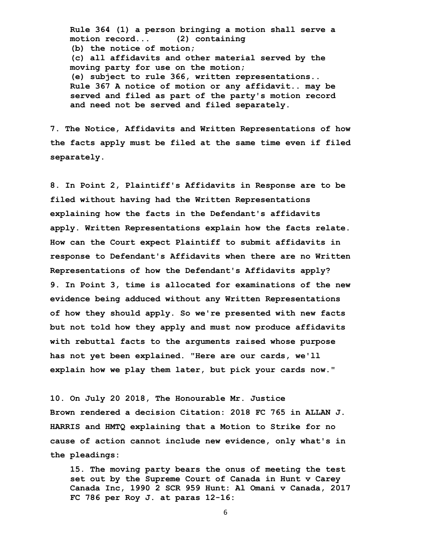**Rule 364 (1) a person bringing a motion shall serve a motion record... (2) containing (b) the notice of motion; (c) all affidavits and other material served by the moving party for use on the motion; (e) subject to rule 366, written representations.. Rule 367 A notice of motion or any affidavit.. may be served and filed as part of the party's motion record and need not be served and filed separately.**

**7. The Notice, Affidavits and Written Representations of how the facts apply must be filed at the same time even if filed separately.** 

**8. In Point 2, Plaintiff's Affidavits in Response are to be filed without having had the Written Representations explaining how the facts in the Defendant's affidavits apply. Written Representations explain how the facts relate. How can the Court expect Plaintiff to submit affidavits in response to Defendant's Affidavits when there are no Written Representations of how the Defendant's Affidavits apply? 9. In Point 3, time is allocated for examinations of the new evidence being adduced without any Written Representations of how they should apply. So we're presented with new facts but not told how they apply and must now produce affidavits with rebuttal facts to the arguments raised whose purpose has not yet been explained. "Here are our cards, we'll explain how we play them later, but pick your cards now."** 

**10. On July 20 2018, The Honourable Mr. Justice Brown rendered a decision Citation: 2018 FC 765 in ALLAN J. HARRIS and HMTQ explaining that a Motion to Strike for no cause of action cannot include new evidence, only what's in the pleadings:**

 **15. The moving party bears the onus of meeting the test set out by the Supreme Court of Canada in Hunt v Carey Canada Inc, 1990 2 SCR 959 Hunt: Al Omani v Canada, 2017 FC 786 per Roy J. at paras 12-16:**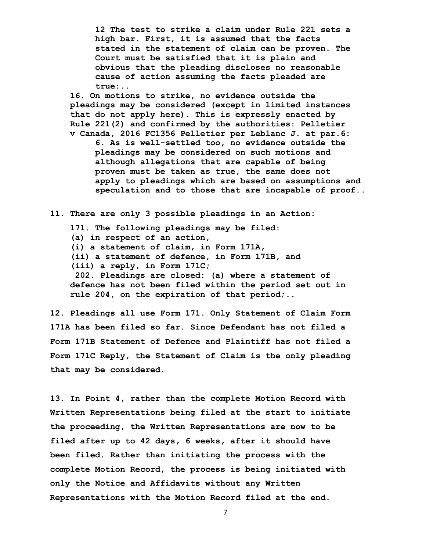**12 The test to strike a claim under Rule 221 sets a high bar. First, it is assumed that the facts stated in the statement of claim can be proven. The Court must be satisfied that it is plain and obvious that the pleading discloses no reasonable cause of action assuming the facts pleaded are true:..**

 **16. On motions to strike, no evidence outside the pleadings may be considered (except in limited instances that do not apply here). This is expressly enacted by Rule 221(2) and confirmed by the authorities: Pelletier v Canada, 2016 FC1356 Pelletier per Leblanc J. at par.6:**

 **6. As is well-settled too, no evidence outside the pleadings may be considered on such motions and although allegations that are capable of being proven must be taken as true, the same does not apply to pleadings which are based on assumptions and speculation and to those that are incapable of proof..**

**11. There are only 3 possible pleadings in an Action:** 

 **171. The following pleadings may be filed:**

 **(a) in respect of an action,**

 **(i) a statement of claim, in Form 171A,**

- **(ii) a statement of defence, in Form 171B, and**
- **(iii) a reply, in Form 171C;**

 **202. Pleadings are closed: (a) where a statement of defence has not been filed within the period set out in rule 204, on the expiration of that period;..**

**12. Pleadings all use Form 171. Only Statement of Claim Form 171A has been filed so far. Since Defendant has not filed a Form 171B Statement of Defence and Plaintiff has not filed a Form 171C Reply, the Statement of Claim is the only pleading that may be considered.** 

**13. In Point 4, rather than the complete Motion Record with Written Representations being filed at the start to initiate the proceeding, the Written Representations are now to be filed after up to 42 days, 6 weeks, after it should have been filed. Rather than initiating the process with the complete Motion Record, the process is being initiated with only the Notice and Affidavits without any Written Representations with the Motion Record filed at the end.**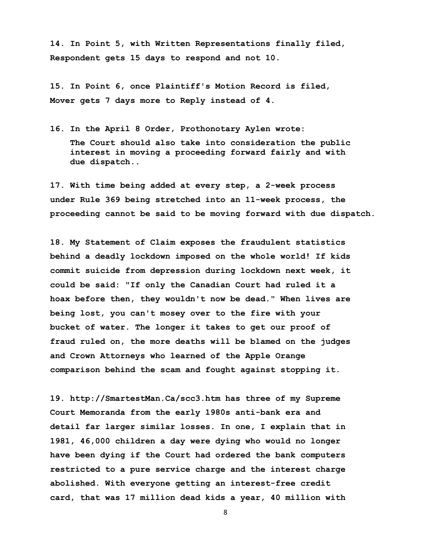**14. In Point 5, with Written Representations finally filed, Respondent gets 15 days to respond and not 10.** 

**15. In Point 6, once Plaintiff's Motion Record is filed, Mover gets 7 days more to Reply instead of 4.** 

**16. In the April 8 Order, Prothonotary Aylen wrote:** 

 **The Court should also take into consideration the public interest in moving a proceeding forward fairly and with due dispatch..**

**17. With time being added at every step, a 2-week process under Rule 369 being stretched into an 11-week process, the proceeding cannot be said to be moving forward with due dispatch.**

**18. My Statement of Claim exposes the fraudulent statistics behind a deadly lockdown imposed on the whole world! If kids commit suicide from depression during lockdown next week, it could be said: "If only the Canadian Court had ruled it a hoax before then, they wouldn't now be dead." When lives are being lost, you can't mosey over to the fire with your bucket of water. The longer it takes to get our proof of fraud ruled on, the more deaths will be blamed on the judges and Crown Attorneys who learned of the Apple Orange comparison behind the scam and fought against stopping it.** 

**19. http://SmartestMan.Ca/scc3.htm has three of my Supreme Court Memoranda from the early 1980s anti-bank era and detail far larger similar losses. In one, I explain that in 1981, 46,000 children a day were dying who would no longer have been dying if the Court had ordered the bank computers restricted to a pure service charge and the interest charge abolished. With everyone getting an interest-free credit card, that was 17 million dead kids a year, 40 million with**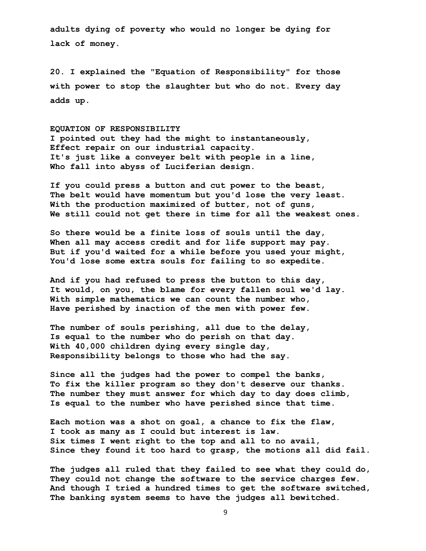**adults dying of poverty who would no longer be dying for lack of money.** 

**20. I explained the "Equation of Responsibility" for those with power to stop the slaughter but who do not. Every day adds up.** 

#### **EQUATION OF RESPONSIBILITY**

**I pointed out they had the might to instantaneously, Effect repair on our industrial capacity. It's just like a conveyer belt with people in a line, Who fall into abyss of Luciferian design.**

**If you could press a button and cut power to the beast, The belt would have momentum but you'd lose the very least. With the production maximized of butter, not of guns, We still could not get there in time for all the weakest ones.**

**So there would be a finite loss of souls until the day, When all may access credit and for life support may pay. But if you'd waited for a while before you used your might, You'd lose some extra souls for failing to so expedite.**

**And if you had refused to press the button to this day, It would, on you, the blame for every fallen soul we'd lay. With simple mathematics we can count the number who, Have perished by inaction of the men with power few.**

**The number of souls perishing, all due to the delay, Is equal to the number who do perish on that day. With 40,000 children dying every single day, Responsibility belongs to those who had the say.**

**Since all the judges had the power to compel the banks, To fix the killer program so they don't deserve our thanks. The number they must answer for which day to day does climb, Is equal to the number who have perished since that time.**

**Each motion was a shot on goal, a chance to fix the flaw, I took as many as I could but interest is law. Six times I went right to the top and all to no avail, Since they found it too hard to grasp, the motions all did fail.**

**The judges all ruled that they failed to see what they could do, They could not change the software to the service charges few. And though I tried a hundred times to get the software switched, The banking system seems to have the judges all bewitched.**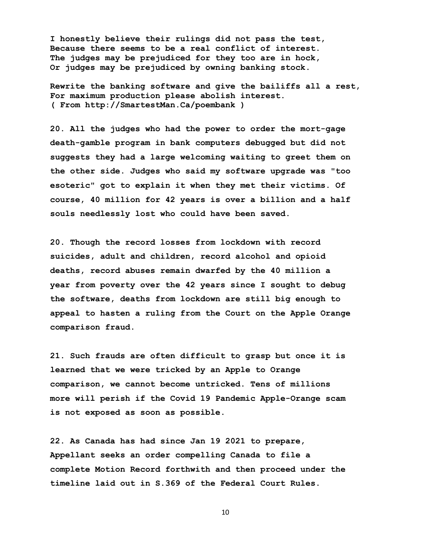**I honestly believe their rulings did not pass the test, Because there seems to be a real conflict of interest. The judges may be prejudiced for they too are in hock, Or judges may be prejudiced by owning banking stock.**

**Rewrite the banking software and give the bailiffs all a rest, For maximum production please abolish interest. ( From http://SmartestMan.Ca/poembank )** 

**20. All the judges who had the power to order the mort-gage death-gamble program in bank computers debugged but did not suggests they had a large welcoming waiting to greet them on the other side. Judges who said my software upgrade was "too esoteric" got to explain it when they met their victims. Of course, 40 million for 42 years is over a billion and a half souls needlessly lost who could have been saved.**

**20. Though the record losses from lockdown with record suicides, adult and children, record alcohol and opioid deaths, record abuses remain dwarfed by the 40 million a year from poverty over the 42 years since I sought to debug the software, deaths from lockdown are still big enough to appeal to hasten a ruling from the Court on the Apple Orange comparison fraud.** 

**21. Such frauds are often difficult to grasp but once it is learned that we were tricked by an Apple to Orange comparison, we cannot become untricked. Tens of millions more will perish if the Covid 19 Pandemic Apple-Orange scam is not exposed as soon as possible.** 

**22. As Canada has had since Jan 19 2021 to prepare, Appellant seeks an order compelling Canada to file a complete Motion Record forthwith and then proceed under the timeline laid out in S.369 of the Federal Court Rules.**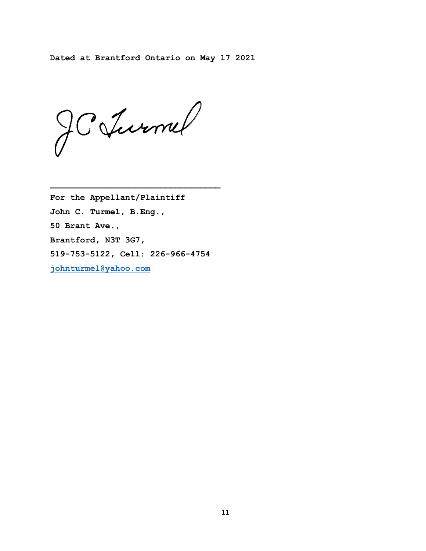**Dated at Brantford Ontario on May 17 2021** 

JCJurnel

**For the Appellant/Plaintiff John C. Turmel, B.Eng., 50 Brant Ave., Brantford, N3T 3G7, 519-753-5122, Cell: 226-966-4754 [johnturmel@yahoo.com](mailto:johnturmel@yahoo.com)**